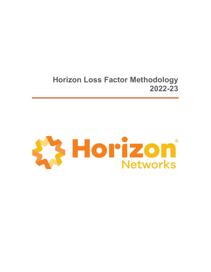Horizon Loss Factor Methodology 2022-23

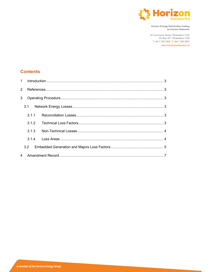

Horizon Energy Distribution trading as Horizon Networks

52 Commerce Street, Whakatāne 3120 PO Box 281, Whakatāne 3158 T +64 7 306 2900 F +64 7 306 2907

www.horizonnetworks.nz

## **Contents**

| 3 |  |  |  |  |  |
|---|--|--|--|--|--|
|   |  |  |  |  |  |
|   |  |  |  |  |  |
|   |  |  |  |  |  |
|   |  |  |  |  |  |
|   |  |  |  |  |  |
|   |  |  |  |  |  |
|   |  |  |  |  |  |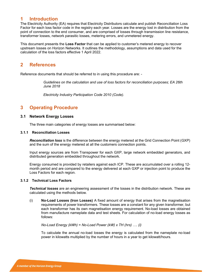### 1 Introduction

The Electricity Authority (EA) requires that Electricity Distributors calculate and publish Reconciliation Loss Factor for each loss factor code in the registry each year. Losses are the energy lost in distribution from the point of connection to the end consumer, and are comprised of losses through transmission line resistance, transformer losses, network parasitic losses, metering errors, and unmetered energy.

This document presents the Loss Factor that can be applied to customer's metered energy to recover upstream losses on Horizon Networks. It outlines the methodology, assumptions and data used for the calculation of the loss factors effective 1 April 2022.

## 2 References

Reference documents that should be referred to in using this procedure are: -

Guidelines on the calculation and use of loss factors for reconciliation purposes; EA 26th June 2018

Electricity Industry Participation Code 2010 (Code).

## 3 Operating Procedure

#### 3.1 Network Energy Losses

The three main categories of energy losses are summarised below:

#### 3.1.1 Reconciliation Losses

**Reconciliation loss** is the difference between the energy metered at the Grid Connection Point (GXP) and the sum of the energy metered at all the customers connection points.

Input energy sources are from Transpower for each GXP, large network embedded generators, and distributed generation embedded throughout the network.

Energy consumed is provided by retailers against each ICP. These are accumulated over a rolling 12 month period and are compared to the energy delivered at each GXP or injection point to produce the Loss Factors for each region.

#### 3.1.2 Technical Loss Factors

**Technical losses** are an engineering assessment of the losses in the distribution network. These are calculated using the methods below.

(i) No-Load Losses (Iron Losses) A fixed amount of energy that arises from the magnetisation requirements of power transformers. These losses are a constant for any given transformer, but each transformer has its own magnetisation energy requirement. No-load losses are obtained from manufacture nameplate data and test sheets. For calculation of no-load energy losses as follows:

No-Load Energy (kWh) = No-Load Power (kW)  $x$  TH (hrs) .... (i)

To calculate the annual no-load losses the energy is calculated from the nameplate no-load power in kilowatts multiplied by the number of hours in a year to get kilowatt/hours.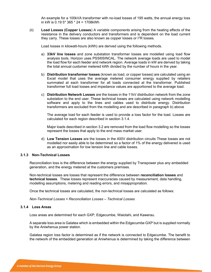An example for a 100kVA transformer with no-load losses of 195 watts, the annual energy loss in kW is 0.19 5\* 365 \* 24 = 1708kWh

(ii) Load Losses (Copper Losses) A variable components arising from the heating effects of the resistance in the delivery conductors and transformers and is dependent on the load current they carry. These losses are also known as copper losses or  $1^2R$  losses.

Load losses in kilowatt-hours (kWh) are derived using the following methods.

- a) 33kV line losses and zone substation transformer losses are modelled using load flow analysis tools. Horizon uses PSS®SINCAL. The network average loads are used to model the load flow for each feeder and network region. Average loads in kW are derived by taking the total annual customer metered kWh divided by the number of hours in the year.
- b) Distribution transformer losses (known as load, or copper losses) are calculated using an Excel model that uses the average metered consumer energy supplied by retailers summated at each transformer for all loads connected at the transformer. Published transformer full load losses and impedance values are apportioned to the average load.
- c) Distribution Network Losses are the losses in the 11kV distribution network from the zone substation to the end user. These technical losses are calculated using network modelling software and apply to the lines and cables used to distribute energy. Distribution transformers are excluded from the modelling and are described in paragraph b) above

The average load for each feeder is used to provide a loss factor for the load. Losses are calculated for each region described in section 3.1.4.

Major loads described in section 3.2 are removed from the load flow modelling so the losses represent the losses that apply to the end mass market user.

d) Low Tension Losses are the losses in the 400V distribution circuits These losses are not modelled nor easily able to be determined so a factor of 1% of the energy delivered is used as an approximation for low tension line and cable losses.

#### 3.1.3 Non-Technical Losses

Reconciliation loss is the difference between the energy supplied by Transpower plus any embedded generation, and the energy metered at the customers premises.

Non-technical losses are losses that represent the difference between reconciliation losses and technical losses. These losses represent inaccuracies caused by measurement, data handling, modelling assumptions, metering and reading errors, and misappropriation.

Once the technical losses are calculated, the non-technical losses are calculated as follows:

Non-Technical Losses = Reconciliation Losses – Technical Losses

#### 3.1.4 Loss Areas

Loss areas are determined for each GXP; Edgecumbe, Waiotahi, and Kawerau.

A separate loss area is Galatea which is embedded within the Edgecumbe GXP but is supplied normally by the Aniwhenua power station.

Galatea region loss factor is determined as if the network is connected to Edgecumbe. The benefit to the network of the embedded generation at Aniwhenua is determined by taking the difference between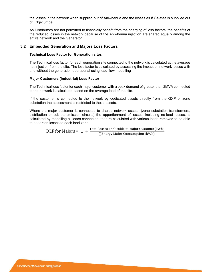the losses in the network when supplied out of Aniwhenua and the losses as if Galatea is supplied out of Edgecumbe.

As Distributors are not permitted to financially benefit from the charging of loss factors, the benefits of the reduced losses in the network because of the Aniwhenua injection are shared equally among the entire network and the Generator.

#### 3.2 Embedded Generation and Majors Loss Factors

#### Technical Loss Factor for Generation sites

The Technical loss factor for each generation site connected to the network is calculated at the average net injection from the site. The loss factor is calculated by assessing the impact on network losses with and without the generation operational using load flow modelling

#### Major Customers (industrial) Loss Factor

The Technical loss factor for each major customer with a peak demand of greater than 2MVA connected to the network is calculated based on the average load of the site.

If the customer is connected to the network by dedicated assets directly from the GXP or zone substation the assessment is restricted to those assets.

Where the major customer is connected to shared network assets, (zone substation transformers, distribution or sub-transmission circuits) the apportionment of losses, including no-load losses, is calculated by modelling all loads connected, then re-calculated with various loads removed to be able to apportion losses to each load zone.

DLF for Majors =  $1 + \frac{\text{Total losses applicable to Major Customer} (kWh)}{\sum \text{Energy Major Consumption} (kWh)}}$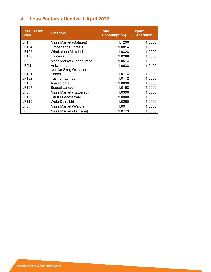# 4 Loss Factors effective 1 April 2022

| <b>Loss Factor</b><br>Code | <b>Category</b>            | <b>Load</b><br>(Consumption) | <b>Export</b><br>(Generation) |
|----------------------------|----------------------------|------------------------------|-------------------------------|
| LF <sub>1</sub>            | Mass Market (Galatea)      | 1.1290                       | 1.0000                        |
| LF104                      | <b>Timberlands Forests</b> | 1.0814                       | 1.0000                        |
| LF105                      | Whakatane Mills Ltd        | 1.0328                       | 1.0000                        |
| LF106                      | Fonterra                   | 1.0288                       | 1.0000                        |
| LF <sub>2</sub>            | Mass Market (Edgecumbe)    | 1.0574                       | 1.0000                        |
| LFG1                       | Aniwhenua                  | 1.0638                       | 1.0400                        |
|                            | Norske Skog Oxidation      |                              |                               |
| LF101                      | Ponds                      | 1.0174                       | 1.0000                        |
| LF102                      | Tasman Lumber              | 1.0112                       | 1.0000                        |
| LF103                      | Asaleo care                | 1.0098                       | 1.0000                        |
| <b>LF107</b>               | Sequal Lumber              | 1.0158                       | 1.0000                        |
| LF3                        | Mass Market (Kawerau)      | 1.0390                       | 1.0000                        |
| LF109                      | <b>TAOM Geothermal</b>     | 1.0000                       | 1.0000                        |
| <b>LF110</b>               | Waiu Dairy Ltd             | 1.0250                       | 1.0000                        |
| LF <sub>5</sub>            | Mass Market (Waiotahi)     | 1.0911                       | 1.0000                        |
| LF6                        | Mass Market (Te Kaha)      | 1.0773                       | 1.0000                        |